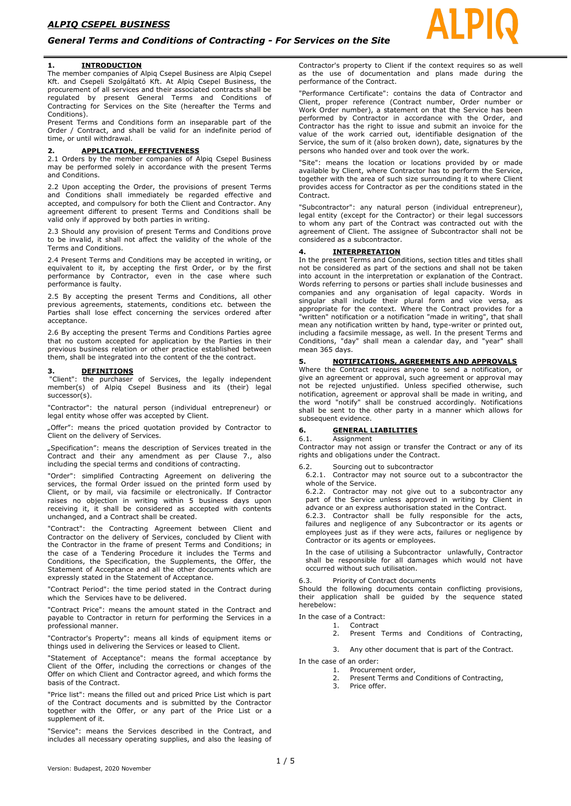### *General Terms and Conditions of Contracting - For Services on the Site*

The member companies of Alpiq Csepel Business are Alpiq Csepel Kft. and Csepeli Szolgáltató Kft. At Alpiq Csepel Business, the procurement of all services and their associated contracts shall be regulated by present General Terms and Conditions of Contracting for Services on the Site (hereafter the Terms and Conditions).

Present Terms and Conditions form an inseparable part of the Order / Contract, and shall be valid for an indefinite period of time, or until withdrawal.

### **2. APPLICATION, EFFECTIVENESS**

2.1 Orders by the member companies of Alpiq Csepel Business may be performed solely in accordance with the present Terms and Conditions.

2.2 Upon accepting the Order, the provisions of present Terms and Conditions shall immediately be regarded effective and accepted, and compulsory for both the Client and Contractor. Any agreement different to present Terms and Conditions shall be valid only if approved by both parties in writing.

2.3 Should any provision of present Terms and Conditions prove to be invalid, it shall not affect the validity of the whole of the Terms and Conditions.

2.4 Present Terms and Conditions may be accepted in writing, or equivalent to it, by accepting the first Order, or by the first performance by Contractor, even in the case where such performance is faulty.

2.5 By accepting the present Terms and Conditions, all other previous agreements, statements, conditions etc. between the Parties shall lose effect concerning the services ordered after acceptance.

2.6 By accepting the present Terms and Conditions Parties agree that no custom accepted for application by the Parties in their previous business relation or other practice established between them, shall be integrated into the content of the the contract.

### **3. DEFINITIONS**

"Client": the purchaser of Services, the legally independent member(s) of Alpiq Csepel Business and its (their) legal successor(s).

"Contractor": the natural person (individual entrepreneur) or legal entity whose offer was accepted by Client.

"Offer": means the priced quotation provided by Contractor to Client on the delivery of Services.

"Specification": means the description of Services treated in the Contract and their any amendment as per Clause 7., also including the special terms and conditions of contracting.

"Order": simplified Contracting Agreement on delivering the services, the formal Order issued on the printed form used by Client, or by mail, via facsimile or electronically. If Contractor raises no objection in writing within 5 business days upon receiving it, it shall be considered as accepted with contents unchanged, and a Contract shall be created.

"Contract": the Contracting Agreement between Client and Contractor on the delivery of Services, concluded by Client with the Contractor in the frame of present Terms and Conditions; in the case of a Tendering Procedure it includes the Terms and Conditions, the Specification, the Supplements, the Offer, the Statement of Acceptance and all the other documents which are expressly stated in the Statement of Acceptance.

"Contract Period": the time period stated in the Contract during which the Services have to be delivered.

"Contract Price": means the amount stated in the Contract and payable to Contractor in return for performing the Services in a professional manner.

"Contractor's Property": means all kinds of equipment items or things used in delivering the Services or leased to Client.

"Statement of Acceptance": means the formal acceptance by Client of the Offer, including the corrections or changes of the Offer on which Client and Contractor agreed, and which forms the basis of the Contract.

"Price list": means the filled out and priced Price List which is part of the Contract documents and is submitted by the Contractor together with the Offer, or any part of the Price List or a supplement of it.

"Service": means the Services described in the Contract, and includes all necessary operating supplies, and also the leasing of Contractor's property to Client if the context requires so as well as the use of documentation and plans made during the performance of the Contract.

"Performance Certificate": contains the data of Contractor and Client, proper reference (Contract number, Order number or Work Order number), a statement on that the Service has been performed by Contractor in accordance with the Order, and Contractor has the right to issue and submit an invoice for the value of the work carried out, identifiable designation of the Service, the sum of it (also broken down), date, signatures by the persons who handed over and took over the work.

"Site": means the location or locations provided by or made available by Client, where Contractor has to perform the Service, together with the area of such size surrounding it to where Client provides access for Contractor as per the conditions stated in the Contract.

"Subcontractor": any natural person (individual entrepreneur), legal entity (except for the Contractor) or their legal successors to whom any part of the Contract was contracted out with the agreement of Client. The assignee of Subcontractor shall not be considered as a subcontractor.

### **4. INTERPRETATION**

In the present Terms and Conditions, section titles and titles shall not be considered as part of the sections and shall not be taken into account in the interpretation or explanation of the Contract. Words referring to persons or parties shall include businesses and companies and any organisation of legal capacity. Words in singular shall include their plural form and vice versa, as appropriate for the context. Where the Contract provides for a "written" notification or a notification "made in writing", that shall mean any notification written by hand, type-writer or printed out, including a facsimile message, as well. In the present Terms and Conditions, "day" shall mean a calendar day, and "year" shall mean 365 days.

### **5. NOTIFICATIONS, AGREEMENTS AND APPROVALS**

Where the Contract requires anyone to send a notification, or give an agreement or approval, such agreement or approval may not be rejected unjustified. Unless specified otherwise, such notification, agreement or approval shall be made in writing, and the word "notify" shall be construed accordingly. Notifications shall be sent to the other party in a manner which allows for subsequent evidence.

### **6. GENERAL LIABILITIES**

6.1. Assignment

Contractor may not assign or transfer the Contract or any of its rights and obligations under the Contract.

Sourcing out to subcontractor

6.2.1. Contractor may not source out to a subcontractor the whole of the Service.

6.2.2. Contractor may not give out to a subcontractor any part of the Service unless approved in writing by Client in advance or an express authorisation stated in the Contract.

6.2.3. Contractor shall be fully responsible for the acts, failures and negligence of any Subcontractor or its agents or employees just as if they were acts, failures or negligence by Contractor or its agents or employees.

In the case of utilising a Subcontractor unlawfully, Contractor shall be responsible for all damages which would not have occurred without such utilisation.

Priority of Contract documents

Should the following documents contain conflicting provisions, their application shall be guided by the sequence stated herebelow:

In the case of a Contract:

1. Contract<br>2. Present

Present Terms and Conditions of Contracting,

3. Any other document that is part of the Contract.

In the case of an order:

- 1. Procurement order, 2. Present Terms and Conditions of Contracting,
- 3. Price offer.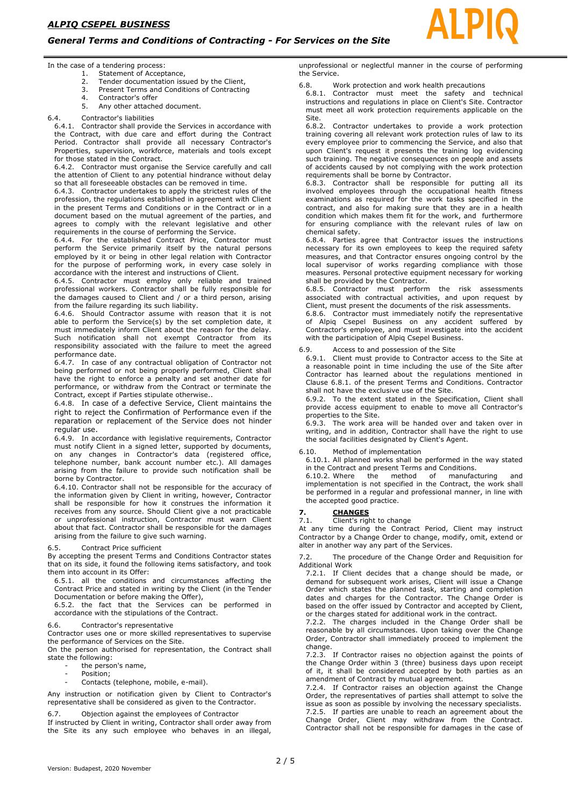### *General Terms and Conditions of Contracting - For Services on the Site*

In the case of a tendering process:

- 1. Statement of Acceptance,
- 2. Tender documentation issued by the Client
- 3. Present Terms and Conditions of Contracting
- 4. Contractor's offer 5. Any other attached document.

### 6.4. Contractor's liabilities

6.4.1. Contractor shall provide the Services in accordance with the Contract, with due care and effort during the Contract Period. Contractor shall provide all necessary Contractor's Properties, supervision, workforce, materials and tools except for those stated in the Contract.

6.4.2. Contractor must organise the Service carefully and call the attention of Client to any potential hindrance without delay so that all foreseeable obstacles can be removed in time.

6.4.3. Contractor undertakes to apply the strictest rules of the profession, the regulations established in agreement with Client in the present Terms and Conditions or in the Contract or in a document based on the mutual agreement of the parties, and agrees to comply with the relevant legislative and other requirements in the course of performing the Service.

6.4.4. For the established Contract Price, Contractor must perform the Service primarily itself by the natural persons employed by it or being in other legal relation with Contractor for the purpose of performing work, in every case solely in accordance with the interest and instructions of Client.

6.4.5. Contractor must employ only reliable and trained professional workers. Contractor shall be fully responsible for the damages caused to Client and / or a third person, arising from the failure regarding its such liability.

6.4.6. Should Contractor assume with reason that it is not able to perform the Service(s) by the set completion date, it must immediately inform Client about the reason for the delay. Such notification shall not exempt Contractor from its responsibility associated with the failure to meet the agreed performance date.

6.4.7. In case of any contractual obligation of Contractor not being performed or not being properly performed, Client shall have the right to enforce a penalty and set another date for performance, or withdraw from the Contract or terminate the Contract, except if Parties stipulate otherwise..

6.4.8. In case of a defective Service, Client maintains the right to reject the Confirmation of Performance even if the reparation or replacement of the Service does not hinder regular use.

6.4.9. In accordance with legislative requirements, Contractor must notify Client in a signed letter, supported by documents, on any changes in Contractor's data (registered office, telephone number, bank account number etc.). All damages arising from the failure to provide such notification shall be borne by Contractor.

6.4.10. Contractor shall not be responsible for the accuracy of the information given by Client in writing, however, Contractor shall be responsible for how it construes the information it receives from any source. Should Client give a not practicable or unprofessional instruction, Contractor must warn Client about that fact. Contractor shall be responsible for the damages arising from the failure to give such warning.

### 6.5. Contract Price sufficient

By accepting the present Terms and Conditions Contractor states that on its side, it found the following items satisfactory, and took them into account in its Offer:

6.5.1. all the conditions and circumstances affecting the Contract Price and stated in writing by the Client (in the Tender Documentation or before making the Offer),

6.5.2. the fact that the Services can be performed in accordance with the stipulations of the Contract.

6.6. Contractor's representative

Contractor uses one or more skilled representatives to supervise the performance of Services on the Site.

On the person authorised for representation, the Contract shall state the following:

- the person's name,
- Position;
- Contacts (telephone, mobile, e-mail).

Any instruction or notification given by Client to Contractor's representative shall be considered as given to the Contractor.

6.7. Objection against the employees of Contractor

If instructed by Client in writing, Contractor shall order away from the Site its any such employee who behaves in an illegal,

unprofessional or neglectful manner in the course of performing the Service.

6.8. Work protection and work health precautions

6.8.1. Contractor must meet the safety and technical instructions and regulations in place on Client's Site. Contractor must meet all work protection requirements applicable on the Site.

6.8.2. Contractor undertakes to provide a work protection training covering all relevant work protection rules of law to its every employee prior to commencing the Service, and also that upon Client's request it presents the training log evidencing such training. The negative consequences on people and assets of accidents caused by not complying with the work protection requirements shall be borne by Contractor.

6.8.3. Contractor shall be responsible for putting all its involved employees through the occupational health fitness examinations as required for the work tasks specified in the contract, and also for making sure that they are in a health condition which makes them fit for the work, and furthermore for ensuring compliance with the relevant rules of law on chemical safety.

6.8.4. Parties agree that Contractor issues the instructions necessary for its own employees to keep the required safety measures, and that Contractor ensures ongoing control by the local supervisor of works regarding compliance with those measures. Personal protective equipment necessary for working shall be provided by the Contractor.

6.8.5. Contractor must perform the risk assessments associated with contractual activities, and upon request by Client, must present the documents of the risk assessments.

6.8.6. Contractor must immediately notify the representative of Alpiq Csepel Business on any accident suffered by Contractor's employee, and must investigate into the accident with the participation of Alpiq Csepel Business.

### 6.9. Access to and possession of the Site

6.9.1. Client must provide to Contractor access to the Site at a reasonable point in time including the use of the Site after Contractor has learned about the regulations mentioned in Clause 6.8.1. of the present Terms and Conditions. Contractor shall not have the exclusive use of the Site.

6.9.2. To the extent stated in the Specification, Client shall provide access equipment to enable to move all Contractor's properties to the Site.

6.9.3. The work area will be handed over and taken over in writing, and in addition, Contractor shall have the right to use the social facilities designated by Client's Agent.

### 6.10. Method of implementation

6.10.1. All planned works shall be performed in the way stated in the Contract and present Terms and Conditions. 6.10.2. Where the method of manufacturing and

implementation is not specified in the Contract, the work shall be performed in a regular and professional manner, in line with the accepted good practice.

# **7. CHANGES**

Client's right to change

At any time during the Contract Period, Client may instruct Contractor by a Change Order to change, modify, omit, extend or alter in another way any part of the Services.

7.2. The procedure of the Change Order and Requisition for Additional Work

7.2.1. If Client decides that a change should be made, or demand for subsequent work arises, Client will issue a Change Order which states the planned task, starting and completion dates and charges for the Contractor. The Change Order is based on the offer issued by Contractor and accepted by Client, or the charges stated for additional work in the contract.

7.2.2. The charges included in the Change Order shall be reasonable by all circumstances. Upon taking over the Change Order, Contractor shall immediately proceed to implement the change.

7.2.3. If Contractor raises no objection against the points of the Change Order within 3 (three) business days upon receipt of it, it shall be considered accepted by both parties as an amendment of Contract by mutual agreement.

7.2.4. If Contractor raises an objection against the Change Order, the representatives of parties shall attempt to solve the issue as soon as possible by involving the necessary specialists. 7.2.5. If parties are unable to reach an agreement about the Change Order, Client may withdraw from the Contract. Contractor shall not be responsible for damages in the case of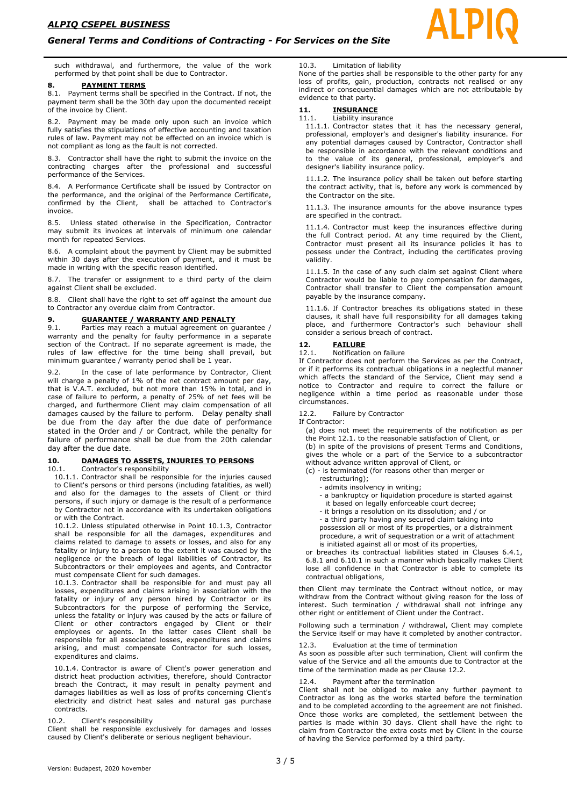### *General Terms and Conditions of Contracting - For Services on the Site*

such withdrawal, and furthermore, the value of the work performed by that point shall be due to Contractor.

### **8. PAYMENT TERMS**

8.1. Payment terms shall be specified in the Contract. If not, the payment term shall be the 30th day upon the documented receipt of the invoice by Client.

8.2. Payment may be made only upon such an invoice which fully satisfies the stipulations of effective accounting and taxation rules of law. Payment may not be effected on an invoice which is not compliant as long as the fault is not corrected.

8.3. Contractor shall have the right to submit the invoice on the contracting charges after the professional and successful performance of the Services.

8.4. A Performance Certificate shall be issued by Contractor on the performance, and the original of the Performance Certificate, confirmed by the Client, shall be attached to Contractor's invoice.

8.5. Unless stated otherwise in the Specification, Contractor may submit its invoices at intervals of minimum one calendar month for repeated Services.

8.6. A complaint about the payment by Client may be submitted within 30 days after the execution of payment, and it must be made in writing with the specific reason identified.

8.7. The transfer or assignment to a third party of the claim against Client shall be excluded.

8.8. Client shall have the right to set off against the amount due to Contractor any overdue claim from Contractor.

### **9. GUARANTEE / WARRANTY AND PENALTY**

9.1. Parties may reach a mutual agreement on guarantee / warranty and the penalty for faulty performance in a separate section of the Contract. If no separate agreement is made, the rules of law effective for the time being shall prevail, but minimum guarantee / warranty period shall be 1 year.

9.2. In the case of late performance by Contractor, Client will charge a penalty of 1% of the net contract amount per day, that is V.A.T. excluded, but not more than 15% in total, and in case of failure to perform, a penalty of 25% of net fees will be charged, and furthermore Client may claim compensation of all damages caused by the failure to perform. Delay penalty shall be due from the day after the due date of performance stated in the Order and / or Contract, while the penalty for failure of performance shall be due from the 20th calendar day after the due date.

### **10. DAMAGES TO ASSETS, INJURIES TO PERSONS**

10.1. Contractor's responsibility

10.1.1. Contractor shall be responsible for the injuries caused to Client's persons or third persons (including fatalities, as well) and also for the damages to the assets of Client or third persons, if such injury or damage is the result of a performance by Contractor not in accordance with its undertaken obligations or with the Contract.

10.1.2. Unless stipulated otherwise in Point 10.1.3, Contractor shall be responsible for all the damages, expenditures and claims related to damage to assets or losses, and also for any fatality or injury to a person to the extent it was caused by the negligence or the breach of legal liabilities of Contractor, its Subcontractors or their employees and agents, and Contractor must compensate Client for such damages.

10.1.3. Contractor shall be responsible for and must pay all losses, expenditures and claims arising in association with the fatality or injury of any person hired by Contractor or its Subcontractors for the purpose of performing the Service, unless the fatality or injury was caused by the acts or failure of Client or other contractors engaged by Client or their employees or agents. In the latter cases Client shall be responsible for all associated losses, expenditures and claims arising, and must compensate Contractor for such losses, expenditures and claims.

10.1.4. Contractor is aware of Client's power generation and district heat production activities, therefore, should Contractor breach the Contract, it may result in penalty payment and damages liabilities as well as loss of profits concerning Client's electricity and district heat sales and natural gas purchase contracts.

### 10.2. Client's responsibility

Client shall be responsible exclusively for damages and losses caused by Client's deliberate or serious negligent behaviour.

### 10.3. Limitation of liability

None of the parties shall be responsible to the other party for any loss of profits, gain, production, contracts not realised or any indirect or consequential damages which are not attributable by evidence to that party.

### **11. INSURANCE**

11.1. Liability insurance

11.1.1. Contractor states that it has the necessary general, professional, employer's and designer's liability insurance. For any potential damages caused by Contractor, Contractor shall be responsible in accordance with the relevant conditions and to the value of its general, professional, employer's and designer's liability insurance policy.

11.1.2. The insurance policy shall be taken out before starting the contract activity, that is, before any work is commenced by the Contractor on the site.

11.1.3. The insurance amounts for the above insurance types are specified in the contract.

11.1.4. Contractor must keep the insurances effective during the full Contract period. At any time required by the Client, Contractor must present all its insurance policies it has to possess under the Contract, including the certificates proving validity.

11.1.5. In the case of any such claim set against Client where Contractor would be liable to pay compensation for damages, Contractor shall transfer to Client the compensation amount payable by the insurance company.

11.1.6. If Contractor breaches its obligations stated in these clauses, it shall have full responsibility for all damages taking place, and furthermore Contractor's such behaviour shall consider a serious breach of contract.

## **12. FAILURE**

Notification on failure

If Contractor does not perform the Services as per the Contract, or if it performs its contractual obligations in a neglectful manner which affects the standard of the Service, Client may send a notice to Contractor and require to correct the failure or negligence within a time period as reasonable under those circumstances.

### 12.2. Failure by Contractor

If Contractor:

(a) does not meet the requirements of the notification as per the Point 12.1. to the reasonable satisfaction of Client, or

(b) in spite of the provisions of present Terms and Conditions, gives the whole or a part of the Service to a subcontractor without advance written approval of Client, or

(c) - is terminated (for reasons other than merger or restructuring);

- admits insolvency in writing;
- a bankruptcy or liquidation procedure is started against
- it based on legally enforceable court decree;
- it brings a resolution on its dissolution; and / or
- a third party having any secured claim taking into possession all or most of its properties, or a distrainment procedure, a writ of sequestration or a writ of attachment is initiated against all or most of its properties,

or breaches its contractual liabilities stated in Clauses 6.4.1, 6.8.1 and 6.10.1 in such a manner which basically makes Client lose all confidence in that Contractor is able to complete its contractual obligations,

then Client may terminate the Contract without notice, or may withdraw from the Contract without giving reason for the loss of interest. Such termination / withdrawal shall not infringe any other right or entitlement of Client under the Contract.

Following such a termination / withdrawal, Client may complete the Service itself or may have it completed by another contractor.

### 12.3. Evaluation at the time of termination

As soon as possible after such termination, Client will confirm the value of the Service and all the amounts due to Contractor at the time of the termination made as per Clause 12.2.

### Payment after the termination

Client shall not be obliged to make any further payment to Contractor as long as the works started before the termination and to be completed according to the agreement are not finished. Once those works are completed, the settlement between the parties is made within 30 days. Client shall have the right to claim from Contractor the extra costs met by Client in the course of having the Service performed by a third party.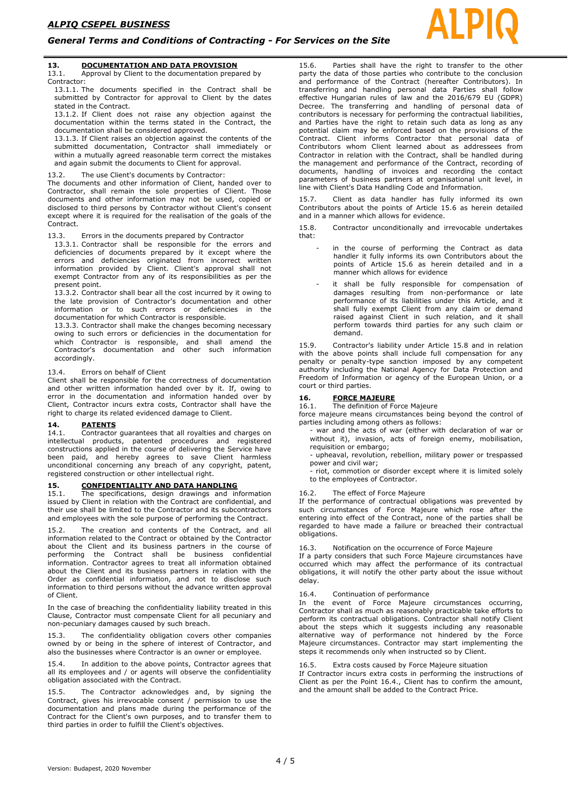### **13. DOCUMENTATION AND DATA PROVISION**

13.1. Approval by Client to the documentation prepared by Contractor:

13.1.1. The documents specified in the Contract shall be submitted by Contractor for approval to Client by the dates stated in the Contract.

13.1.2. If Client does not raise any objection against the documentation within the terms stated in the Contract, the documentation shall be considered approved.

13.1.3. If Client raises an objection against the contents of the submitted documentation, Contractor shall immediately or within a mutually agreed reasonable term correct the mistakes and again submit the documents to Client for approval.

### 13.2. The use Client's documents by Contractor:

The documents and other information of Client, handed over to Contractor, shall remain the sole properties of Client. Those documents and other information may not be used, copied or disclosed to third persons by Contractor without Client's consent except where it is required for the realisation of the goals of the Contract.

### 13.3. Errors in the documents prepared by Contractor

13.3.1. Contractor shall be responsible for the errors and deficiencies of documents prepared by it except where the errors and deficiencies originated from incorrect written information provided by Client. Client's approval shall not exempt Contractor from any of its responsibilities as per the present point.

13.3.2. Contractor shall bear all the cost incurred by it owing to the late provision of Contractor's documentation and other information or to such errors or deficiencies in the documentation for which Contractor is responsible.

13.3.3. Contractor shall make the changes becoming necessary owing to such errors or deficiencies in the documentation for which Contractor is responsible, and shall amend the Contractor's documentation and other such information accordingly.

### 13.4. Errors on behalf of Client

Client shall be responsible for the correctness of documentation and other written information handed over by it. If, owing to error in the documentation and information handed over by Client, Contractor incurs extra costs, Contractor shall have the right to charge its related evidenced damage to Client.

## 14. **PATENTS**<br>14.1. Contractor

Contractor guarantees that all royalties and charges on intellectual products, patented procedures and registered constructions applied in the course of delivering the Service have been paid, and hereby agrees to save Client harmless unconditional concerning any breach of any copyright, patent, registered construction or other intellectual right.

### **15. CONFIDENTIALITY AND DATA HANDLING**

15.1. The specifications, design drawings and information issued by Client in relation with the Contract are confidential, and their use shall be limited to the Contractor and its subcontractors and employees with the sole purpose of performing the Contract.

15.2. The creation and contents of the Contract, and all information related to the Contract or obtained by the Contractor about the Client and its business partners in the course of performing the Contract shall be business confidential the Contract shall be business confidential information. Contractor agrees to treat all information obtained about the Client and its business partners in relation with the Order as confidential information, and not to disclose such information to third persons without the advance written approval of Client.

In the case of breaching the confidentiality liability treated in this Clause, Contractor must compensate Client for all pecuniary and non-pecuniary damages caused by such breach.

15.3. The confidentiality obligation covers other companies owned by or being in the sphere of interest of Contractor, and also the businesses where Contractor is an owner or employee.

15.4. In addition to the above points, Contractor agrees that all its employees and / or agents will observe the confidentiality obligation associated with the Contract.

15.5. The Contractor acknowledges and, by signing the Contract, gives his irrevocable consent / permission to use the documentation and plans made during the performance of the Contract for the Client's own purposes, and to transfer them to third parties in order to fulfill the Client's objectives.

15.6. Parties shall have the right to transfer to the other party the data of those parties who contribute to the conclusion and performance of the Contract (hereafter Contributors). In transferring and handling personal data Parties shall follow effective Hungarian rules of law and the 2016/679 EU (GDPR) Decree. The transferring and handling of personal data of contributors is necessary for performing the contractual liabilities, and Parties have the right to retain such data as long as any potential claim may be enforced based on the provisions of the Contract. Client informs Contractor that personal data of Contributors whom Client learned about as addressees from Contractor in relation with the Contract, shall be handled during the management and performance of the Contract, recording of documents, handling of invoices and recording the contact parameters of business partners at organisational unit level, in line with Client's Data Handling Code and Information.

15.7. Client as data handler has fully informed its own Contributors about the points of Article 15.6 as herein detailed and in a manner which allows for evidence.

15.8. Contractor unconditionally and irrevocable undertakes that:

- in the course of performing the Contract as data handler it fully informs its own Contributors about the points of Article 15.6 as herein detailed and in a manner which allows for evidence
- it shall be fully responsible for compensation of damages resulting from non-performance or late performance of its liabilities under this Article, and it shall fully exempt Client from any claim or demand raised against Client in such relation, and it shall perform towards third parties for any such claim or demand.

15.9. Contractor's liability under Article 15.8 and in relation with the above points shall include full compensation for any penalty or penalty-type sanction imposed by any competent authority including the National Agency for Data Protection and Freedom of Information or agency of the European Union, or a court or third parties.

## **16. FORCE MAJEURE**<br>16.1 **The definition of Eq.**

The definition of Force Majeure

force majeure means circumstances being beyond the control of parties including among others as follows:

- war and the acts of war (either with declaration of war or without it), invasion, acts of foreign enemy, mobilisation, requisition or embargo;

- upheaval, revolution, rebellion, military power or trespassed power and civil war;

.<br>- riot, commotion or disorder except where it is limited solely to the employees of Contractor.

#### 16.2. The effect of Force Majeure

If the performance of contractual obligations was prevented by such circumstances of Force Majeure which rose after the entering into effect of the Contract, none of the parties shall be regarded to have made a failure or breached their contractual obligations.

### 16.3. Notification on the occurrence of Force Majeure

If a party considers that such Force Majeure circumstances have occurred which may affect the performance of its contractual obligations, it will notify the other party about the issue without delay.

### 16.4. Continuation of performance

In the event of Force Majeure circumstances occurring, Contractor shall as much as reasonably practicable take efforts to perform its contractual obligations. Contractor shall notify Client about the steps which it suggests including any reasonable alternative way of performance not hindered by the Force Majeure circumstances. Contractor may start implementing the steps it recommends only when instructed so by Client.

### Extra costs caused by Force Majeure situation

If Contractor incurs extra costs in performing the instructions of Client as per the Point 16.4., Client has to confirm the amount, and the amount shall be added to the Contract Price.